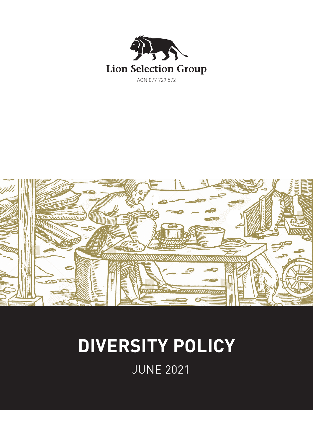



# **DIVERSITY POLICY**

JUNE 2021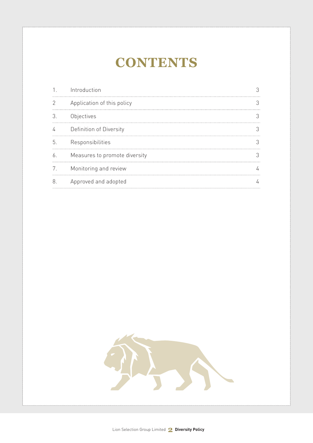# **CONTENTS**

|    | Introduction                  |  |
|----|-------------------------------|--|
|    | Application of this policy    |  |
|    | Objectives                    |  |
|    | Definition of Diversity       |  |
| h  | Responsibilities              |  |
| 6. | Measures to promote diversity |  |
| 7. | Monitoring and review         |  |
| 8  | Approved and adopted          |  |

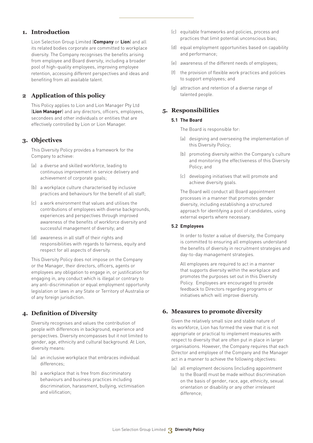#### **1. Introduction**

Lion Selection Group Limited (**Company** or **Lion**) and all its related bodies corporate are committed to workplace diversity. The Company recognises the benefits arising from employee and Board diversity, including a broader pool of high-quality employees, improving employee retention, accessing different perspectives and ideas and benefiting from all available talent.

## **2 Application of this policy**

This Policy applies to Lion and Lion Manager Pty Ltd (**Lion Manager**) and any directors, officers, employees, secondees and other individuals or entities that are effectively controlled by Lion or Lion Manager.

#### **3. Objectives**

This Diversity Policy provides a framework for the Company to achieve:

- (a) a diverse and skilled workforce, leading to continuous improvement in service delivery and achievement of corporate goals;
- (b) a workplace culture characterised by inclusive practices and behaviours for the benefit of all staff;
- (c) a work environment that values and utilises the contributions of employees with diverse backgrounds, experiences and perspectives through improved awareness of the benefits of workforce diversity and successful management of diversity; and
- (d) awareness in all staff of their rights and responsibilities with regards to fairness, equity and respect for all aspects of diversity.

This Diversity Policy does not impose on the Company or the Manager, their directors, officers, agents or employees any obligation to engage in, or justification for engaging in, any conduct which is illegal or contrary to any anti-discrimination or equal employment opportunity legislation or laws in any State or Territory of Australia or of any foreign jurisdiction.

## **4. Definition of Diversity**

Diversity recognises and values the contribution of people with differences in background, experience and perspectives. Diversity encompasses but it not limited to gender, age, ethnicity and cultural background. At Lion, diversity means:

- (a) an inclusive workplace that embraces individual differences;
- (b) a workplace that is free from discriminatory behaviours and business practices including discrimination, harassment, bullying, victimisation and vilification;
- (c) equitable frameworks and policies, process and practices that limit potential unconscious bias;
- (d) equal employment opportunities based on capability and performance;
- (e) awareness of the different needs of employees;
- the provision of flexible work practices and policies to support employees; and
- (g) attraction and retention of a diverse range of talented people.

#### **5. Responsibilities**

#### **5.1 The Board**

The Board is responsible for:

- (a) designing and overseeing the implementation of this Diversity Policy;
- (b) promoting diversity within the Company's culture and monitoring the effectiveness of this Diversity Policy; and
- (c) developing initiatives that will promote and achieve diversity goals.

The Board will conduct all Board appointment processes in a manner that promotes gender diversity, including establishing a structured approach for identifying a pool of candidates, using external experts where necessary.

#### **5.2 Employees**

In order to foster a value of diversity, the Company is committed to ensuring all employees understand the benefits of diversity in recruitment strategies and day-to-day management strategies.

All employees are required to act in a manner that supports diversity within the workplace and promotes the purposes set out in this Diversity Policy. Employees are encouraged to provide feedback to Directors regarding programs or initiatives which will improve diversity.

## **6. Measures to promote diversity**

Given the relatively small size and stable nature of its workforce, Lion has formed the view that it is not appropriate or practical to implement measures with respect to diversity that are often put in place in larger organisations. However, the Company requires that each Director and employee of the Company and the Manager act in a manner to achieve the following objectives:

(a) all employment decisions (including appointment to the Board) must be made without discrimination on the basis of gender, race, age, ethnicity, sexual orientation or disability or any other irrelevant difference;